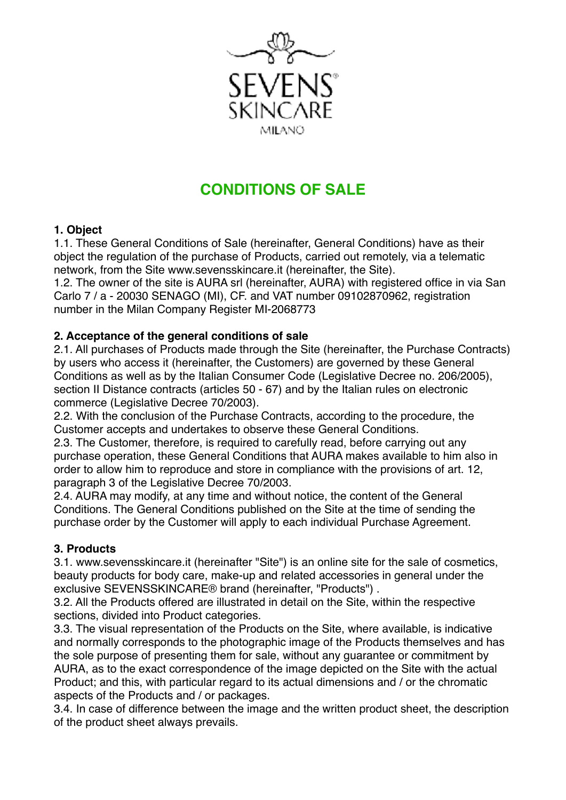

# **CONDITIONS OF SALE**

#### **1. Object**

1.1. These General Conditions of Sale (hereinafter, General Conditions) have as their object the regulation of the purchase of Products, carried out remotely, via a telematic network, from the Site www.sevensskincare.it (hereinafter, the Site).

1.2. The owner of the site is AURA srl (hereinafter, AURA) with registered office in via San Carlo 7 / a - 20030 SENAGO (MI), CF. and VAT number 09102870962, registration number in the Milan Company Register MI-2068773

#### **2. Acceptance of the general conditions of sale**

2.1. All purchases of Products made through the Site (hereinafter, the Purchase Contracts) by users who access it (hereinafter, the Customers) are governed by these General Conditions as well as by the Italian Consumer Code (Legislative Decree no. 206/2005), section II Distance contracts (articles 50 - 67) and by the Italian rules on electronic commerce (Legislative Decree 70/2003).

2.2. With the conclusion of the Purchase Contracts, according to the procedure, the Customer accepts and undertakes to observe these General Conditions.

2.3. The Customer, therefore, is required to carefully read, before carrying out any purchase operation, these General Conditions that AURA makes available to him also in order to allow him to reproduce and store in compliance with the provisions of art. 12, paragraph 3 of the Legislative Decree 70/2003.

2.4. AURA may modify, at any time and without notice, the content of the General Conditions. The General Conditions published on the Site at the time of sending the purchase order by the Customer will apply to each individual Purchase Agreement.

#### **3. Products**

3.1. www.sevensskincare.it (hereinafter "Site") is an online site for the sale of cosmetics, beauty products for body care, make-up and related accessories in general under the exclusive SEVENSSKINCARE® brand (hereinafter, "Products") .

3.2. All the Products offered are illustrated in detail on the Site, within the respective sections, divided into Product categories.

3.3. The visual representation of the Products on the Site, where available, is indicative and normally corresponds to the photographic image of the Products themselves and has the sole purpose of presenting them for sale, without any guarantee or commitment by AURA, as to the exact correspondence of the image depicted on the Site with the actual Product; and this, with particular regard to its actual dimensions and / or the chromatic aspects of the Products and / or packages.

3.4. In case of difference between the image and the written product sheet, the description of the product sheet always prevails.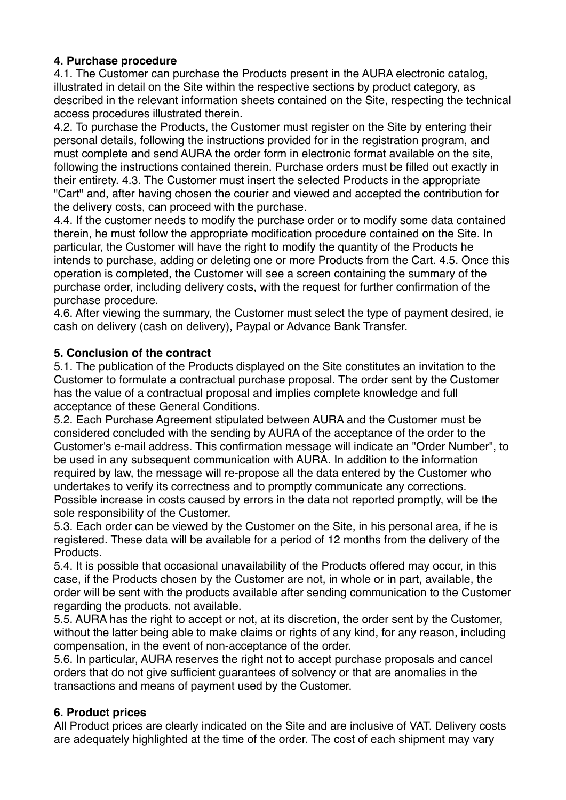## **4. Purchase procedure**

4.1. The Customer can purchase the Products present in the AURA electronic catalog, illustrated in detail on the Site within the respective sections by product category, as described in the relevant information sheets contained on the Site, respecting the technical access procedures illustrated therein.

4.2. To purchase the Products, the Customer must register on the Site by entering their personal details, following the instructions provided for in the registration program, and must complete and send AURA the order form in electronic format available on the site, following the instructions contained therein. Purchase orders must be filled out exactly in their entirety. 4.3. The Customer must insert the selected Products in the appropriate "Cart" and, after having chosen the courier and viewed and accepted the contribution for the delivery costs, can proceed with the purchase.

4.4. If the customer needs to modify the purchase order or to modify some data contained therein, he must follow the appropriate modification procedure contained on the Site. In particular, the Customer will have the right to modify the quantity of the Products he intends to purchase, adding or deleting one or more Products from the Cart. 4.5. Once this operation is completed, the Customer will see a screen containing the summary of the purchase order, including delivery costs, with the request for further confirmation of the purchase procedure.

4.6. After viewing the summary, the Customer must select the type of payment desired, ie cash on delivery (cash on delivery), Paypal or Advance Bank Transfer.

## **5. Conclusion of the contract**

5.1. The publication of the Products displayed on the Site constitutes an invitation to the Customer to formulate a contractual purchase proposal. The order sent by the Customer has the value of a contractual proposal and implies complete knowledge and full acceptance of these General Conditions.

5.2. Each Purchase Agreement stipulated between AURA and the Customer must be considered concluded with the sending by AURA of the acceptance of the order to the Customer's e-mail address. This confirmation message will indicate an "Order Number", to be used in any subsequent communication with AURA. In addition to the information required by law, the message will re-propose all the data entered by the Customer who undertakes to verify its correctness and to promptly communicate any corrections. Possible increase in costs caused by errors in the data not reported promptly, will be the sole responsibility of the Customer.

5.3. Each order can be viewed by the Customer on the Site, in his personal area, if he is registered. These data will be available for a period of 12 months from the delivery of the Products.

5.4. It is possible that occasional unavailability of the Products offered may occur, in this case, if the Products chosen by the Customer are not, in whole or in part, available, the order will be sent with the products available after sending communication to the Customer regarding the products. not available.

5.5. AURA has the right to accept or not, at its discretion, the order sent by the Customer, without the latter being able to make claims or rights of any kind, for any reason, including compensation, in the event of non-acceptance of the order.

5.6. In particular, AURA reserves the right not to accept purchase proposals and cancel orders that do not give sufficient guarantees of solvency or that are anomalies in the transactions and means of payment used by the Customer.

# **6. Product prices**

All Product prices are clearly indicated on the Site and are inclusive of VAT. Delivery costs are adequately highlighted at the time of the order. The cost of each shipment may vary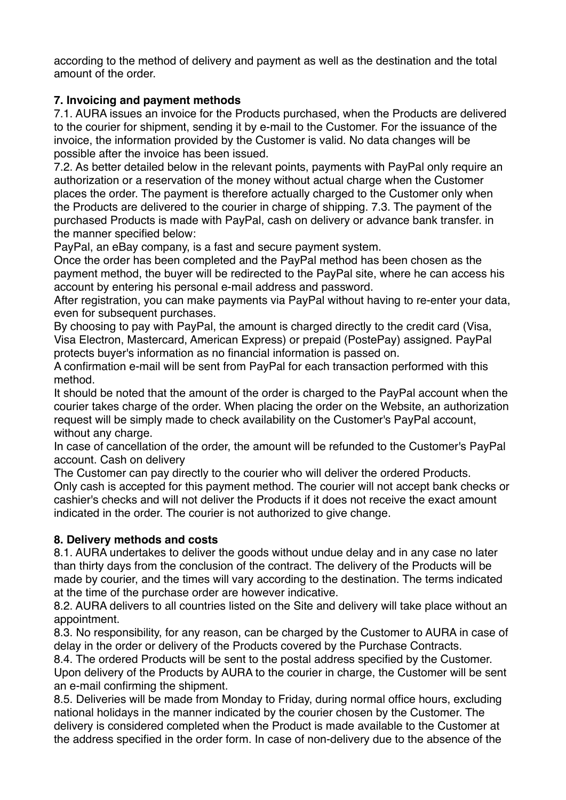according to the method of delivery and payment as well as the destination and the total amount of the order.

## **7. Invoicing and payment methods**

7.1. AURA issues an invoice for the Products purchased, when the Products are delivered to the courier for shipment, sending it by e-mail to the Customer. For the issuance of the invoice, the information provided by the Customer is valid. No data changes will be possible after the invoice has been issued.

7.2. As better detailed below in the relevant points, payments with PayPal only require an authorization or a reservation of the money without actual charge when the Customer places the order. The payment is therefore actually charged to the Customer only when the Products are delivered to the courier in charge of shipping. 7.3. The payment of the purchased Products is made with PayPal, cash on delivery or advance bank transfer. in the manner specified below:

PayPal, an eBay company, is a fast and secure payment system.

Once the order has been completed and the PayPal method has been chosen as the payment method, the buyer will be redirected to the PayPal site, where he can access his account by entering his personal e-mail address and password.

After registration, you can make payments via PayPal without having to re-enter your data, even for subsequent purchases.

By choosing to pay with PayPal, the amount is charged directly to the credit card (Visa, Visa Electron, Mastercard, American Express) or prepaid (PostePay) assigned. PayPal protects buyer's information as no financial information is passed on.

A confirmation e-mail will be sent from PayPal for each transaction performed with this method.

It should be noted that the amount of the order is charged to the PayPal account when the courier takes charge of the order. When placing the order on the Website, an authorization request will be simply made to check availability on the Customer's PayPal account, without any charge.

In case of cancellation of the order, the amount will be refunded to the Customer's PayPal account. Cash on delivery

The Customer can pay directly to the courier who will deliver the ordered Products. Only cash is accepted for this payment method. The courier will not accept bank checks or cashier's checks and will not deliver the Products if it does not receive the exact amount indicated in the order. The courier is not authorized to give change.

# **8. Delivery methods and costs**

8.1. AURA undertakes to deliver the goods without undue delay and in any case no later than thirty days from the conclusion of the contract. The delivery of the Products will be made by courier, and the times will vary according to the destination. The terms indicated at the time of the purchase order are however indicative.

8.2. AURA delivers to all countries listed on the Site and delivery will take place without an appointment.

8.3. No responsibility, for any reason, can be charged by the Customer to AURA in case of delay in the order or delivery of the Products covered by the Purchase Contracts.

8.4. The ordered Products will be sent to the postal address specified by the Customer. Upon delivery of the Products by AURA to the courier in charge, the Customer will be sent an e-mail confirming the shipment.

8.5. Deliveries will be made from Monday to Friday, during normal office hours, excluding national holidays in the manner indicated by the courier chosen by the Customer. The delivery is considered completed when the Product is made available to the Customer at the address specified in the order form. In case of non-delivery due to the absence of the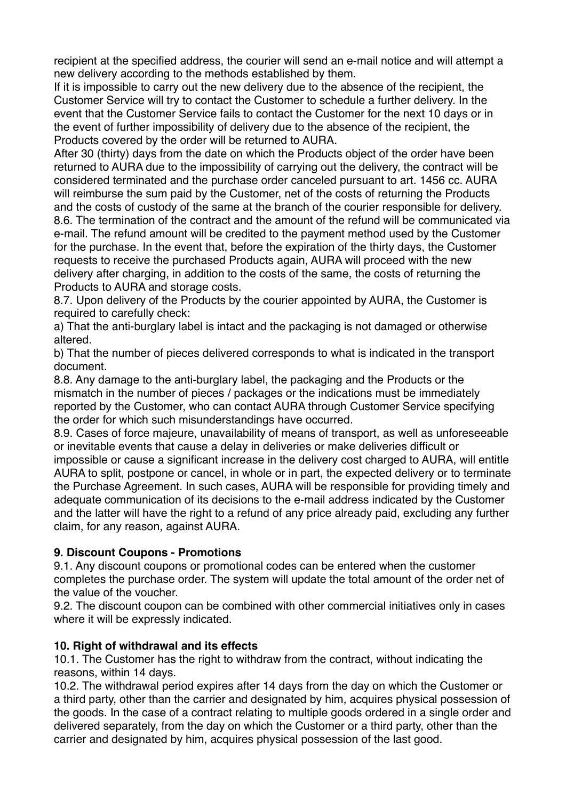recipient at the specified address, the courier will send an e-mail notice and will attempt a new delivery according to the methods established by them.

If it is impossible to carry out the new delivery due to the absence of the recipient, the Customer Service will try to contact the Customer to schedule a further delivery. In the event that the Customer Service fails to contact the Customer for the next 10 days or in the event of further impossibility of delivery due to the absence of the recipient, the Products covered by the order will be returned to AURA.

After 30 (thirty) days from the date on which the Products object of the order have been returned to AURA due to the impossibility of carrying out the delivery, the contract will be considered terminated and the purchase order canceled pursuant to art. 1456 cc. AURA will reimburse the sum paid by the Customer, net of the costs of returning the Products and the costs of custody of the same at the branch of the courier responsible for delivery. 8.6. The termination of the contract and the amount of the refund will be communicated via e-mail. The refund amount will be credited to the payment method used by the Customer for the purchase. In the event that, before the expiration of the thirty days, the Customer requests to receive the purchased Products again, AURA will proceed with the new delivery after charging, in addition to the costs of the same, the costs of returning the Products to AURA and storage costs.

8.7. Upon delivery of the Products by the courier appointed by AURA, the Customer is required to carefully check:

a) That the anti-burglary label is intact and the packaging is not damaged or otherwise altered.

b) That the number of pieces delivered corresponds to what is indicated in the transport document.

8.8. Any damage to the anti-burglary label, the packaging and the Products or the mismatch in the number of pieces / packages or the indications must be immediately reported by the Customer, who can contact AURA through Customer Service specifying the order for which such misunderstandings have occurred.

8.9. Cases of force majeure, unavailability of means of transport, as well as unforeseeable or inevitable events that cause a delay in deliveries or make deliveries difficult or

impossible or cause a significant increase in the delivery cost charged to AURA, will entitle AURA to split, postpone or cancel, in whole or in part, the expected delivery or to terminate the Purchase Agreement. In such cases, AURA will be responsible for providing timely and adequate communication of its decisions to the e-mail address indicated by the Customer and the latter will have the right to a refund of any price already paid, excluding any further claim, for any reason, against AURA.

#### **9. Discount Coupons - Promotions**

9.1. Any discount coupons or promotional codes can be entered when the customer completes the purchase order. The system will update the total amount of the order net of the value of the voucher.

9.2. The discount coupon can be combined with other commercial initiatives only in cases where it will be expressly indicated.

#### **10. Right of withdrawal and its effects**

10.1. The Customer has the right to withdraw from the contract, without indicating the reasons, within 14 days.

10.2. The withdrawal period expires after 14 days from the day on which the Customer or a third party, other than the carrier and designated by him, acquires physical possession of the goods. In the case of a contract relating to multiple goods ordered in a single order and delivered separately, from the day on which the Customer or a third party, other than the carrier and designated by him, acquires physical possession of the last good.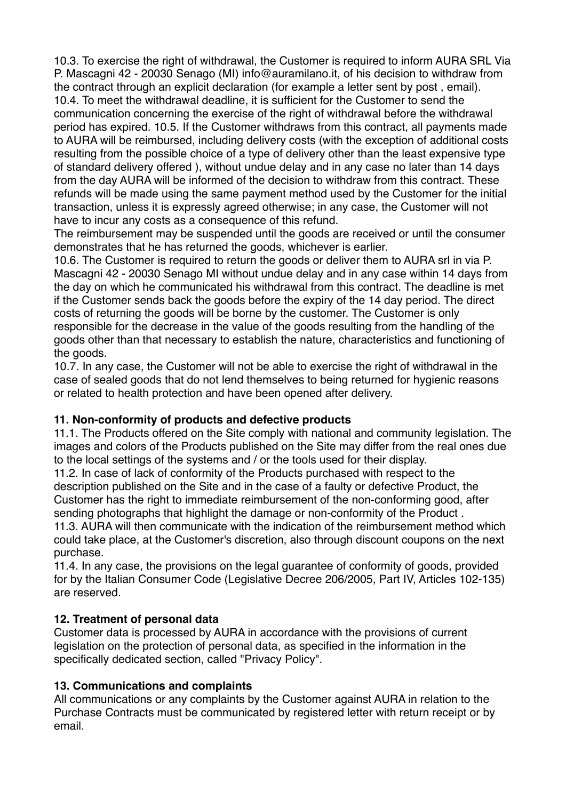10.3. To exercise the right of withdrawal, the Customer is required to inform AURA SRL Via P. Mascagni 42 - 20030 Senago (MI) info@auramilano.it, of his decision to withdraw from the contract through an explicit declaration (for example a letter sent by post , email). 10.4. To meet the withdrawal deadline, it is sufficient for the Customer to send the communication concerning the exercise of the right of withdrawal before the withdrawal period has expired. 10.5. If the Customer withdraws from this contract, all payments made to AURA will be reimbursed, including delivery costs (with the exception of additional costs resulting from the possible choice of a type of delivery other than the least expensive type of standard delivery offered ), without undue delay and in any case no later than 14 days from the day AURA will be informed of the decision to withdraw from this contract. These refunds will be made using the same payment method used by the Customer for the initial transaction, unless it is expressly agreed otherwise; in any case, the Customer will not have to incur any costs as a consequence of this refund.

The reimbursement may be suspended until the goods are received or until the consumer demonstrates that he has returned the goods, whichever is earlier.

10.6. The Customer is required to return the goods or deliver them to AURA srl in via P. Mascagni 42 - 20030 Senago MI without undue delay and in any case within 14 days from the day on which he communicated his withdrawal from this contract. The deadline is met if the Customer sends back the goods before the expiry of the 14 day period. The direct costs of returning the goods will be borne by the customer. The Customer is only responsible for the decrease in the value of the goods resulting from the handling of the goods other than that necessary to establish the nature, characteristics and functioning of the goods.

10.7. In any case, the Customer will not be able to exercise the right of withdrawal in the case of sealed goods that do not lend themselves to being returned for hygienic reasons or related to health protection and have been opened after delivery.

#### **11. Non-conformity of products and defective products**

11.1. The Products offered on the Site comply with national and community legislation. The images and colors of the Products published on the Site may differ from the real ones due to the local settings of the systems and / or the tools used for their display.

11.2. In case of lack of conformity of the Products purchased with respect to the description published on the Site and in the case of a faulty or defective Product, the Customer has the right to immediate reimbursement of the non-conforming good, after sending photographs that highlight the damage or non-conformity of the Product .

11.3. AURA will then communicate with the indication of the reimbursement method which could take place, at the Customer's discretion, also through discount coupons on the next purchase.

11.4. In any case, the provisions on the legal guarantee of conformity of goods, provided for by the Italian Consumer Code (Legislative Decree 206/2005, Part IV, Articles 102-135) are reserved.

#### **12. Treatment of personal data**

Customer data is processed by AURA in accordance with the provisions of current legislation on the protection of personal data, as specified in the information in the specifically dedicated section, called "Privacy Policy".

# **13. Communications and complaints**

All communications or any complaints by the Customer against AURA in relation to the Purchase Contracts must be communicated by registered letter with return receipt or by email.